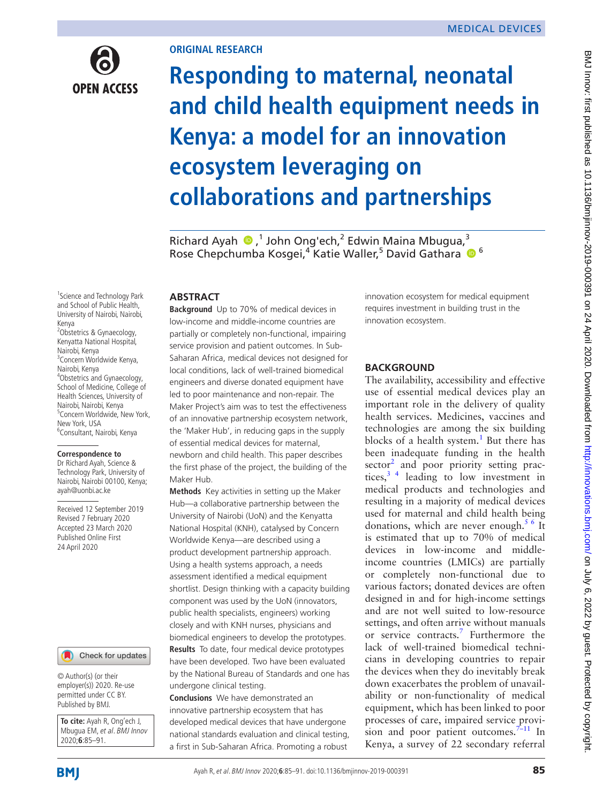

### **Original research**

# **Responding to maternal, neonatal and child health equipment needs in Kenya: a model for an innovation ecosystem leveraging on collaborations and partnerships**

RichardAyah <sup>®</sup>,<sup>1</sup> John Ong'ech,<sup>2</sup> Edwin Maina Mbugua,<sup>3</sup> Rose Chepchumba Kosgei,<sup>4</sup> Katie Waller,<sup>5</sup> David Gathara <sup>66</sup>

<sup>1</sup>Science and Technology Park and School of Public Health, University of Nairobi, Nairobi, Kenya <sup>2</sup>Obstetrics & Gynaecology,

Kenyatta National Hospital, Nairobi, Kenya <sup>3</sup> Concern Worldwide Kenya, Nairobi, Kenya 4 Obstetrics and Gynaecology, School of Medicine, College of Health Sciences, University of Nairobi, Nairobi, Kenya 5 Concern Worldwide, New York, New York, USA <sup>6</sup>Consultant, Nairobi, Kenya

#### **Correspondence to**

Dr Richard Ayah, Science & Technology Park, University of Nairobi, Nairobi 00100, Kenya; ayah@uonbi.ac.ke

Received 12 September 2019 Revised 7 February 2020 Accepted 23 March 2020 Published Online First 24 April 2020



© Author(s) (or their employer(s)) 2020. Re-use permitted under CC BY. Published by BMJ.

**To cite:** Ayah R, Ong'ech J, Mbugua EM, et al. BMJ Innov 2020;**6**:85–91.

### **Abstract**

**Background** Up to 70% of medical devices in low-income and middle-income countries are partially or completely non-functional, impairing service provision and patient outcomes. In Sub-Saharan Africa, medical devices not designed for local conditions, lack of well-trained biomedical engineers and diverse donated equipment have led to poor maintenance and non-repair. The Maker Project's aim was to test the effectiveness of an innovative partnership ecosystem network, the 'Maker Hub', in reducing gaps in the supply of essential medical devices for maternal, newborn and child health. This paper describes the first phase of the project, the building of the Maker Hub.

**Methods** Key activities in setting up the Maker Hub—a collaborative partnership between the University of Nairobi (UoN) and the Kenyatta National Hospital (KNH), catalysed by Concern Worldwide Kenya—are described using a product development partnership approach. Using a health systems approach, a needs assessment identified a medical equipment shortlist. Design thinking with a capacity building component was used by the UoN (innovators, public health specialists, engineers) working closely and with KNH nurses, physicians and biomedical engineers to develop the prototypes. **Results** To date, four medical device prototypes have been developed. Two have been evaluated by the National Bureau of Standards and one has undergone clinical testing.

**Conclusions** We have demonstrated an innovative partnership ecosystem that has developed medical devices that have undergone national standards evaluation and clinical testing, a first in Sub-Saharan Africa. Promoting a robust

innovation ecosystem for medical equipment requires investment in building trust in the innovation ecosystem.

## **BACKGROUND**

The availability, accessibility and effective use of essential medical devices play an important role in the delivery of quality health services. Medicines, vaccines and technologies are among the six building blocks of a health system. $1$  But there has been inadequate funding in the health sector<sup>[2](#page-5-1)</sup> and poor priority setting practices, $3<sup>4</sup>$  leading to low investment in medical products and technologies and resulting in a majority of medical devices used for maternal and child health being donations, which are never enough.<sup>5 6</sup> It is estimated that up to 70% of medical devices in low-income and middleincome countries (LMICs) are partially or completely non-functional due to various factors; donated devices are often designed in and for high-income settings and are not well suited to low-resource settings, and often arrive without manuals or service contracts.[7](#page-6-1) Furthermore the lack of well-trained biomedical technicians in developing countries to repair the devices when they do inevitably break down exacerbates the problem of unavailability or non-functionality of medical equipment, which has been linked to poor processes of care, impaired service provision and poor patient outcomes. $7-11$  In Kenya, a survey of 22 secondary referral

**BMI**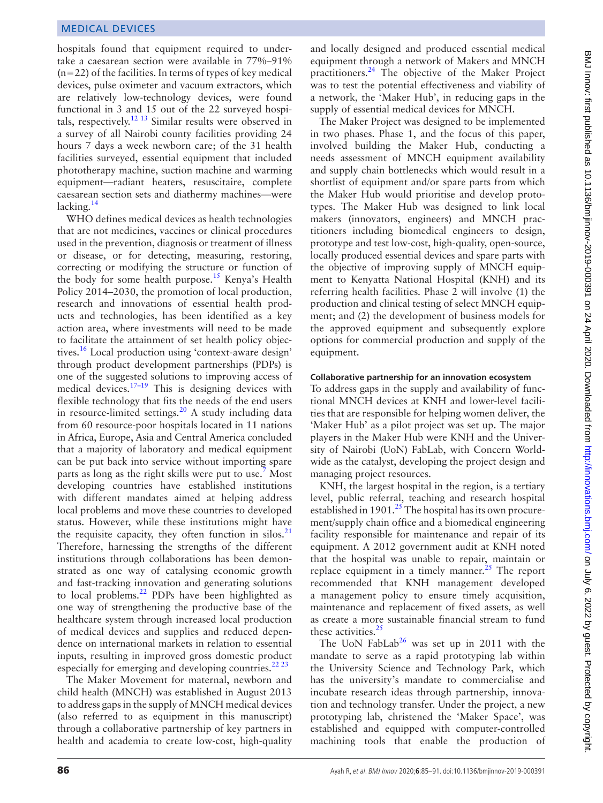# MEDICAL DEVICES

hospitals found that equipment required to undertake a caesarean section were available in 77%–91%  $(n=22)$  of the facilities. In terms of types of key medical devices, pulse oximeter and vacuum extractors, which are relatively low-technology devices, were found functional in 3 and 15 out of the 22 surveyed hospitals, respectively.<sup>12 13</sup> Similar results were observed in a survey of all Nairobi county facilities providing 24 hours 7 days a week newborn care; of the 31 health facilities surveyed, essential equipment that included phototherapy machine, suction machine and warming equipment—radiant heaters, resuscitaire, complete caesarean section sets and diathermy machines—were lacking.<sup>[14](#page-6-3)</sup>

WHO defines medical devices as health technologies that are not medicines, vaccines or clinical procedures used in the prevention, diagnosis or treatment of illness or disease, or for detecting, measuring, restoring, correcting or modifying the structure or function of the body for some health purpose.<sup>15</sup> Kenya's Health Policy 2014–2030, the promotion of local production, research and innovations of essential health products and technologies, has been identified as a key action area, where investments will need to be made to facilitate the attainment of set health policy objectives.[16](#page-6-5) Local production using 'context-aware design' through product development partnerships (PDPs) is one of the suggested solutions to improving access of medical devices.<sup>17–19</sup> This is designing devices with flexible technology that fits the needs of the end users in resource-limited settings.<sup>20</sup> A study including data from 60 resource-poor hospitals located in 11 nations in Africa, Europe, Asia and Central America concluded that a majority of laboratory and medical equipment can be put back into service without importing spare parts as long as the right skills were put to use.<sup>[7](#page-6-1)</sup> Most developing countries have established institutions with different mandates aimed at helping address local problems and move these countries to developed status. However, while these institutions might have the requisite capacity, they often function in silos. $21$ Therefore, harnessing the strengths of the different institutions through collaborations has been demonstrated as one way of catalysing economic growth and fast-tracking innovation and generating solutions to local problems.<sup>[22](#page-6-9)</sup> PDPs have been highlighted as one way of strengthening the productive base of the healthcare system through increased local production of medical devices and supplies and reduced dependence on international markets in relation to essential inputs, resulting in improved gross domestic product especially for emerging and developing countries.<sup>[22 23](#page-6-9)</sup>

The Maker Movement for maternal, newborn and child health (MNCH) was established in August 2013 to address gaps in the supply of MNCH medical devices (also referred to as equipment in this manuscript) through a collaborative partnership of key partners in health and academia to create low-cost, high-quality

and locally designed and produced essential medical equipment through a network of Makers and MNCH practitioners.<sup>24</sup> The objective of the Maker Project was to test the potential effectiveness and viability of a network, the 'Maker Hub', in reducing gaps in the supply of essential medical devices for MNCH.

The Maker Project was designed to be implemented in two phases. Phase 1, and the focus of this paper, involved building the Maker Hub, conducting a needs assessment of MNCH equipment availability and supply chain bottlenecks which would result in a shortlist of equipment and/or spare parts from which the Maker Hub would prioritise and develop prototypes. The Maker Hub was designed to link local makers (innovators, engineers) and MNCH practitioners including biomedical engineers to design, prototype and test low-cost, high-quality, open-source, locally produced essential devices and spare parts with the objective of improving supply of MNCH equipment to Kenyatta National Hospital (KNH) and its referring health facilities. Phase 2 will involve (1) the production and clinical testing of select MNCH equipment; and (2) the development of business models for the approved equipment and subsequently explore options for commercial production and supply of the equipment.

#### **Collaborative partnership for an innovation ecosystem**

To address gaps in the supply and availability of functional MNCH devices at KNH and lower-level facilities that are responsible for helping women deliver, the 'Maker Hub' as a pilot project was set up. The major players in the Maker Hub were KNH and the University of Nairobi (UoN) FabLab, with Concern Worldwide as the catalyst, developing the project design and managing project resources.

KNH, the largest hospital in the region, is a tertiary level, public referral, teaching and research hospital established in  $1901<sup>25</sup>$  The hospital has its own procurement/supply chain office and a biomedical engineering facility responsible for maintenance and repair of its equipment. A 2012 government audit at KNH noted that the hospital was unable to repair, maintain or replace equipment in a timely manner.<sup>25</sup> The report recommended that KNH management developed a management policy to ensure timely acquisition, maintenance and replacement of fixed assets, as well as create a more sustainable financial stream to fund these activities.<sup>25</sup>

The UoN FabLab<sup>26</sup> was set up in 2011 with the mandate to serve as a rapid prototyping lab within the University Science and Technology Park, which has the university's mandate to commercialise and incubate research ideas through partnership, innovation and technology transfer. Under the project, a new prototyping lab, christened the 'Maker Space', was established and equipped with computer-controlled machining tools that enable the production of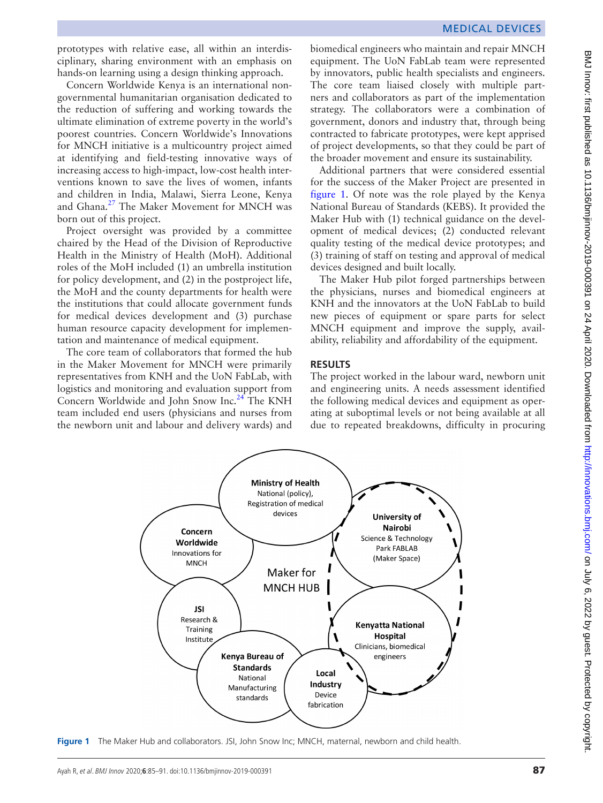prototypes with relative ease, all within an interdisciplinary, sharing environment with an emphasis on hands-on learning using a design thinking approach.

Concern Worldwide Kenya is an international nongovernmental humanitarian organisation dedicated to the reduction of suffering and working towards the ultimate elimination of extreme poverty in the world's poorest countries. Concern Worldwide's Innovations for MNCH initiative is a multicountry project aimed at identifying and field-testing innovative ways of increasing access to high-impact, low-cost health interventions known to save the lives of women, infants and children in India, Malawi, Sierra Leone, Kenya and Ghana.<sup>[27](#page-6-13)</sup> The Maker Movement for MNCH was born out of this project.

Project oversight was provided by a committee chaired by the Head of the Division of Reproductive Health in the Ministry of Health (MoH). Additional roles of the MoH included (1) an umbrella institution for policy development, and (2) in the postproject life, the MoH and the county departments for health were the institutions that could allocate government funds for medical devices development and (3) purchase human resource capacity development for implementation and maintenance of medical equipment.

The core team of collaborators that formed the hub in the Maker Movement for MNCH were primarily representatives from KNH and the UoN FabLab, with logistics and monitoring and evaluation support from Concern Worldwide and John Snow Inc.<sup>[24](#page-6-10)</sup> The KNH team included end users (physicians and nurses from the newborn unit and labour and delivery wards) and

biomedical engineers who maintain and repair MNCH equipment. The UoN FabLab team were represented by innovators, public health specialists and engineers. The core team liaised closely with multiple partners and collaborators as part of the implementation strategy. The collaborators were a combination of government, donors and industry that, through being contracted to fabricate prototypes, were kept apprised of project developments, so that they could be part of the broader movement and ensure its sustainability.

Additional partners that were considered essential for the success of the Maker Project are presented in [figure](#page-2-0) 1. Of note was the role played by the Kenya National Bureau of Standards (KEBS). It provided the Maker Hub with (1) technical guidance on the development of medical devices; (2) conducted relevant quality testing of the medical device prototypes; and (3) training of staff on testing and approval of medical devices designed and built locally.

The Maker Hub pilot forged partnerships between the physicians, nurses and biomedical engineers at KNH and the innovators at the UoN FabLab to build new pieces of equipment or spare parts for select MNCH equipment and improve the supply, availability, reliability and affordability of the equipment.

## **Results**

The project worked in the labour ward, newborn unit and engineering units. A needs assessment identified the following medical devices and equipment as operating at suboptimal levels or not being available at all due to repeated breakdowns, difficulty in procuring



<span id="page-2-0"></span>**Figure 1** The Maker Hub and collaborators. JSI, John Snow Inc; MNCH, maternal, newborn and child health.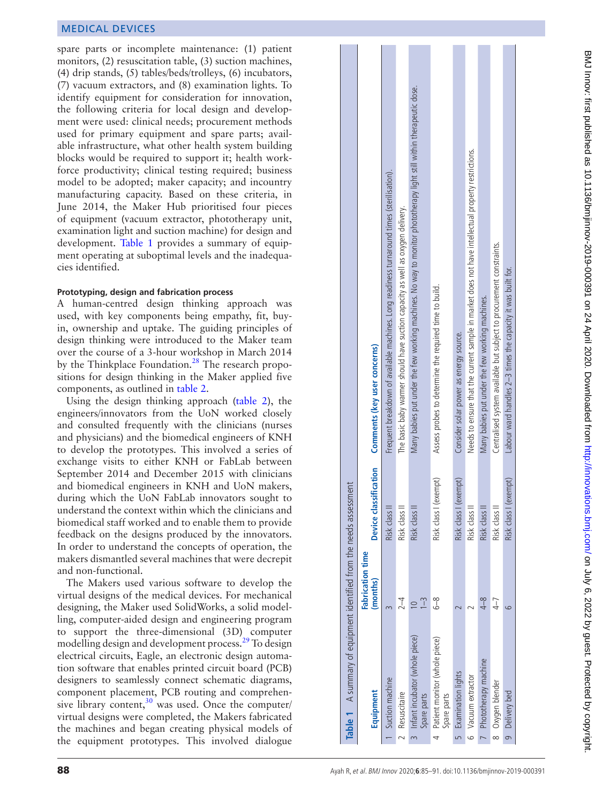spare parts or incomplete maintenance: (1) patient monitors, (2) resuscitation table, (3) suction machines, (4) drip stands, (5) tables/beds/trolleys, (6) incubators, (7) vacuum extractors, and (8) examination lights. To identify equipment for consideration for innovation, the following criteria for local design and development were used: clinical needs; procurement methods used for primary equipment and spare parts; available infrastructure, what other health system building blocks would be required to support it; health workforce productivity; clinical testing required; business model to be adopted; maker capacity; and incountry manufacturing capacity. Based on these criteria, in June 2014, the Maker Hub prioritised four pieces of equipment (vacuum extractor, phototherapy unit, examination light and suction machine) for design and development. [Table](#page-3-0) 1 provides a summary of equipment operating at suboptimal levels and the inadequacies identified.

## **Prototyping, design and fabrication process**

A human-centred design thinking approach was used, with key components being empathy, fit, buyin, ownership and uptake. The guiding principles of design thinking were introduced to the Maker team over the course of a 3-hour workshop in March 2014 by the Thinkplace Foundation.<sup>[28](#page-6-14)</sup> The research propositions for design thinking in the Maker applied five components, as outlined in [table](#page-4-0) 2.

Using the design thinking approach [\(table](#page-4-0) 2), the engineers/innovators from the UoN worked closely and consulted frequently with the clinicians (nurses and physicians) and the biomedical engineers of KNH to develop the prototypes. This involved a series of exchange visits to either KNH or FabLab between September 2014 and December 2015 with clinicians and biomedical engineers in KNH and UoN makers, during which the UoN FabLab innovators sought to understand the context within which the clinicians and biomedical staff worked and to enable them to provide feedback on the designs produced by the innovators. In order to understand the concepts of operation, the makers dismantled several machines that were decrepit and non-functional.

The Makers used various software to develop the virtual designs of the medical devices. For mechanical designing, the Maker used SolidWorks, a solid modelling, computer-aided design and engineering program to support the three-dimensional (3D) computer modelling design and development process.<sup>29</sup> To design electrical circuits, Eagle, an electronic design automation software that enables printed circuit board (PCB) designers to seamlessly connect schematic diagrams, component placement, PCB routing and comprehensive library content,  $30$  was used. Once the computer/ virtual designs were completed, the Makers fabricated the machines and began creating physical models of the equipment prototypes. This involved dialogue

|        | I      |
|--------|--------|
| e      |        |
| ۰.     | ×      |
|        | ٠      |
| ۰.     | ۰.     |
| $\sim$ | $\sim$ |
|        |        |

| Table 1 A summary of equipment identified from the needs assessment |                           |                            |                                                                                                                     |
|---------------------------------------------------------------------|---------------------------|----------------------------|---------------------------------------------------------------------------------------------------------------------|
|                                                                     | <b>Fabrication time</b>   |                            |                                                                                                                     |
| Equipment                                                           | (months)                  | Device classi              | ification Comments (key user concerns)                                                                              |
| Suction machine                                                     |                           | Risk class II              | Frequent breakdown of available machines. Long readiness turnaround times (sterilisation).                          |
| Resuscitaire                                                        | $\frac{4}{3}$             | Risk class II              | The basic baby warmer should have suction capacity as well as oxygen delivery.                                      |
| Infant incubator (whole piece)<br>Spare parts                       | $\sqrt{2}$<br>$\supseteq$ | Risk class II              | Many babies put under the few working machines. No way to monitor phototherapy light still within therapeutic dose. |
| Patient monitor (whole piece)<br>Spare parts                        | ကို<br>ယ                  | Risk class I (exempt)      | Assess probes to determine the required time to build.                                                              |
| Examination lights                                                  |                           | Risk class I (exempt)      | Consider solar power as energy source.                                                                              |
| 6 Vacuum extractor                                                  |                           | Risk class II              | Needs to ensure that the current sample in market does not have intellectual property restrictions.                 |
| Phototherapy machine                                                | $\frac{8}{4}$             | Risk class II              | Many babies put under the few working machines.                                                                     |
| Oxygen blender                                                      | $4 - 7$                   | Risk class II              | Centralised system available but subject to procurement constraints.                                                |
| Delivery bed                                                        | ιC                        | kempt)<br>Risk class I (ex | Labour ward handles 2–3 times the capacity it was built for.                                                        |
|                                                                     |                           |                            |                                                                                                                     |

<span id="page-3-0"></span>I H.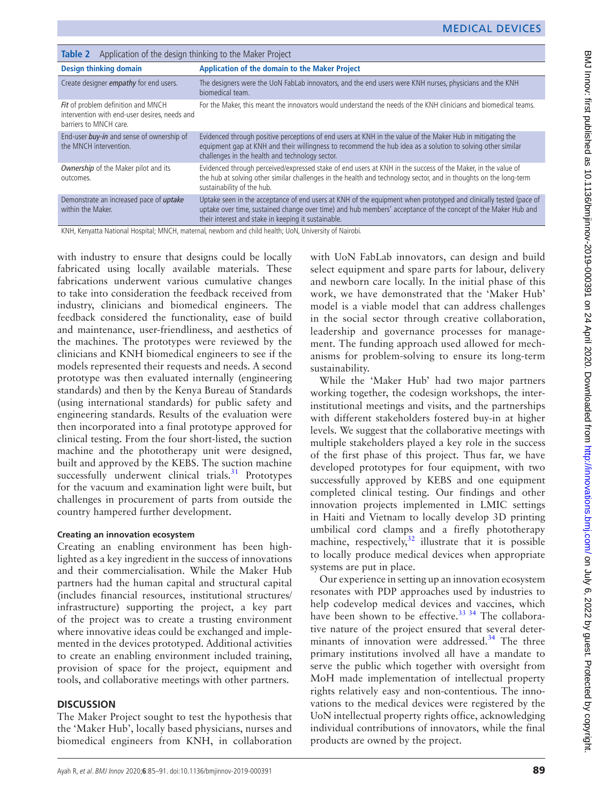<span id="page-4-0"></span>

| Application of the design thinking to the Maker Project<br>Table 2                                            |                                                                                                                                                                                                                                                                                           |  |
|---------------------------------------------------------------------------------------------------------------|-------------------------------------------------------------------------------------------------------------------------------------------------------------------------------------------------------------------------------------------------------------------------------------------|--|
| <b>Design thinking domain</b>                                                                                 | <b>Application of the domain to the Maker Project</b>                                                                                                                                                                                                                                     |  |
| Create designer <i>empathy</i> for end users.                                                                 | The designers were the UoN FabLab innovators, and the end users were KNH nurses, physicians and the KNH<br>biomedical team.                                                                                                                                                               |  |
| Fit of problem definition and MNCH<br>intervention with end-user desires, needs and<br>barriers to MNCH care. | For the Maker, this meant the innovators would understand the needs of the KNH clinicians and biomedical teams.                                                                                                                                                                           |  |
| End-user buy-in and sense of ownership of<br>the MNCH intervention.                                           | Evidenced through positive perceptions of end users at KNH in the value of the Maker Hub in mitigating the<br>equipment gap at KNH and their willingness to recommend the hub idea as a solution to solving other similar<br>challenges in the health and technology sector.              |  |
| Ownership of the Maker pilot and its<br>outcomes.                                                             | Evidenced through perceived/expressed stake of end users at KNH in the success of the Maker, in the value of<br>the hub at solving other similar challenges in the health and technology sector, and in thoughts on the long-term<br>sustainability of the hub.                           |  |
| Demonstrate an increased pace of <i>uptake</i><br>within the Maker.                                           | Uptake seen in the acceptance of end users at KNH of the equipment when prototyped and clinically tested (pace of<br>uptake over time, sustained change over time) and hub members' acceptance of the concept of the Maker Hub and<br>their interest and stake in keeping it sustainable. |  |

KNH, Kenyatta National Hospital; MNCH, maternal, newborn and child health; UoN, University of Nairobi.

with industry to ensure that designs could be locally fabricated using locally available materials. These fabrications underwent various cumulative changes to take into consideration the feedback received from industry, clinicians and biomedical engineers. The feedback considered the functionality, ease of build and maintenance, user-friendliness, and aesthetics of the machines. The prototypes were reviewed by the clinicians and KNH biomedical engineers to see if the models represented their requests and needs. A second prototype was then evaluated internally (engineering standards) and then by the Kenya Bureau of Standards (using international standards) for public safety and engineering standards. Results of the evaluation were then incorporated into a final prototype approved for clinical testing. From the four short-listed, the suction machine and the phototherapy unit were designed, built and approved by the KEBS. The suction machine  $s$ uccessfully underwent clinical trials.<sup>31</sup> Prototypes for the vacuum and examination light were built, but challenges in procurement of parts from outside the country hampered further development.

### **Creating an innovation ecosystem**

Creating an enabling environment has been highlighted as a key ingredient in the success of innovations and their commercialisation. While the Maker Hub partners had the human capital and structural capital (includes financial resources, institutional structures/ infrastructure) supporting the project, a key part of the project was to create a trusting environment where innovative ideas could be exchanged and implemented in the devices prototyped. Additional activities to create an enabling environment included training, provision of space for the project, equipment and tools, and collaborative meetings with other partners.

# **Discussion**

The Maker Project sought to test the hypothesis that the 'Maker Hub', locally based physicians, nurses and biomedical engineers from KNH, in collaboration

with UoN FabLab innovators, can design and build select equipment and spare parts for labour, delivery and newborn care locally. In the initial phase of this work, we have demonstrated that the 'Maker Hub' model is a viable model that can address challenges in the social sector through creative collaboration, leadership and governance processes for management. The funding approach used allowed for mechanisms for problem-solving to ensure its long-term sustainability.

While the 'Maker Hub' had two major partners working together, the codesign workshops, the interinstitutional meetings and visits, and the partnerships with different stakeholders fostered buy-in at higher levels. We suggest that the collaborative meetings with multiple stakeholders played a key role in the success of the first phase of this project. Thus far, we have developed prototypes for four equipment, with two successfully approved by KEBS and one equipment completed clinical testing. Our findings and other innovation projects implemented in LMIC settings in Haiti and Vietnam to locally develop 3D printing umbilical cord clamps and a firefly phototherapy machine, respectively, $32$  illustrate that it is possible to locally produce medical devices when appropriate systems are put in place.

Our experience in setting up an innovation ecosystem resonates with PDP approaches used by industries to help codevelop medical devices and vaccines, which have been shown to be effective.<sup>33 34</sup> The collaborative nature of the project ensured that several deter-minants of innovation were addressed.<sup>[34](#page-6-20)</sup> The three primary institutions involved all have a mandate to serve the public which together with oversight from MoH made implementation of intellectual property rights relatively easy and non-contentious. The innovations to the medical devices were registered by the UoN intellectual property rights office, acknowledging individual contributions of innovators, while the final products are owned by the project.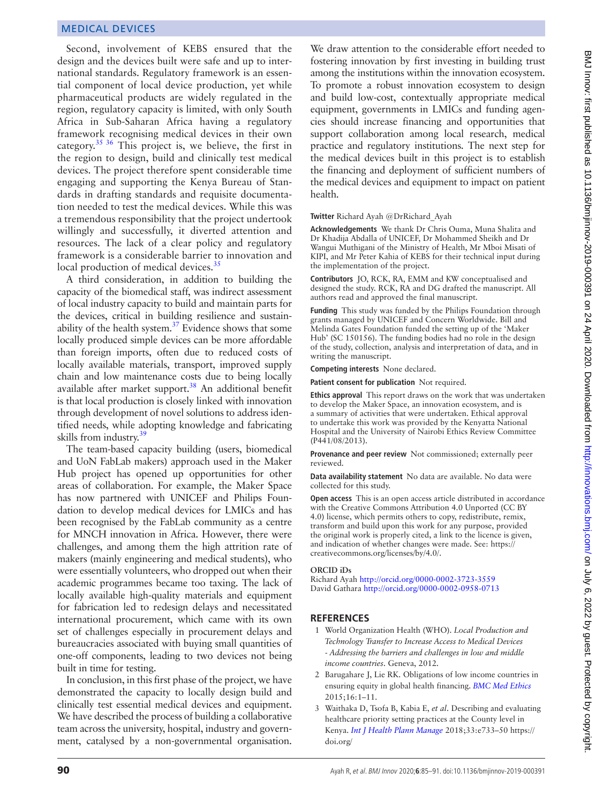Second, involvement of KEBS ensured that the design and the devices built were safe and up to international standards. Regulatory framework is an essential component of local device production, yet while pharmaceutical products are widely regulated in the region, regulatory capacity is limited, with only South Africa in Sub-Saharan Africa having a regulatory framework recognising medical devices in their own category[.35 36](#page-6-21) This project is, we believe, the first in the region to design, build and clinically test medical devices. The project therefore spent considerable time engaging and supporting the Kenya Bureau of Standards in drafting standards and requisite documentation needed to test the medical devices. While this was a tremendous responsibility that the project undertook willingly and successfully, it diverted attention and resources. The lack of a clear policy and regulatory framework is a considerable barrier to innovation and local production of medical devices.<sup>[35](#page-6-21)</sup>

A third consideration, in addition to building the capacity of the biomedical staff, was indirect assessment of local industry capacity to build and maintain parts for the devices, critical in building resilience and sustainability of the health system. $37$  Evidence shows that some locally produced simple devices can be more affordable than foreign imports, often due to reduced costs of locally available materials, transport, improved supply chain and low maintenance costs due to being locally available after market support.<sup>38</sup> An additional benefit is that local production is closely linked with innovation through development of novel solutions to address identified needs, while adopting knowledge and fabricating skills from industry.<sup>[39](#page-6-24)</sup>

The team-based capacity building (users, biomedical and UoN FabLab makers) approach used in the Maker Hub project has opened up opportunities for other areas of collaboration. For example, the Maker Space has now partnered with UNICEF and Philips Foundation to develop medical devices for LMICs and has been recognised by the FabLab community as a centre for MNCH innovation in Africa. However, there were challenges, and among them the high attrition rate of makers (mainly engineering and medical students), who were essentially volunteers, who dropped out when their academic programmes became too taxing. The lack of locally available high-quality materials and equipment for fabrication led to redesign delays and necessitated international procurement, which came with its own set of challenges especially in procurement delays and bureaucracies associated with buying small quantities of one-off components, leading to two devices not being built in time for testing.

In conclusion, in this first phase of the project, we have demonstrated the capacity to locally design build and clinically test essential medical devices and equipment. We have described the process of building a collaborative team across the university, hospital, industry and government, catalysed by a non-governmental organisation.

We draw attention to the considerable effort needed to fostering innovation by first investing in building trust among the institutions within the innovation ecosystem. To promote a robust innovation ecosystem to design and build low-cost, contextually appropriate medical equipment, governments in LMICs and funding agencies should increase financing and opportunities that support collaboration among local research, medical practice and regulatory institutions. The next step for the medical devices built in this project is to establish the financing and deployment of sufficient numbers of the medical devices and equipment to impact on patient health.

#### **Twitter** Richard Ayah [@DrRichard\\_Ayah](https://twitter.com/DrRichard_Ayah)

**Acknowledgements** We thank Dr Chris Ouma, Muna Shalita and Dr Khadija Abdalla of UNICEF, Dr Mohammed Sheikh and Dr Wangui Muthigani of the Ministry of Health, Mr Mboi Misati of KIPI, and Mr Peter Kahia of KEBS for their technical input during the implementation of the project.

**Contributors** JO, RCK, RA, EMM and KW conceptualised and designed the study. RCK, RA and DG drafted the manuscript. All authors read and approved the final manuscript.

**Funding** This study was funded by the Philips Foundation through grants managed by UNICEF and Concern Worldwide. Bill and Melinda Gates Foundation funded the setting up of the 'Maker Hub' (SC 150156). The funding bodies had no role in the design of the study, collection, analysis and interpretation of data, and in writing the manuscript.

**Competing interests** None declared.

**Patient consent for publication** Not required.

**Ethics approval** This report draws on the work that was undertaken to develop the Maker Space, an innovation ecosystem, and is a summary of activities that were undertaken. Ethical approval to undertake this work was provided by the Kenyatta National Hospital and the University of Nairobi Ethics Review Committee (P441/08/2013).

**Provenance and peer review** Not commissioned; externally peer reviewed.

**Data availability statement** No data are available. No data were collected for this study.

**Open access** This is an open access article distributed in accordance with the Creative Commons Attribution 4.0 Unported (CC BY 4.0) license, which permits others to copy, redistribute, remix, transform and build upon this work for any purpose, provided the original work is properly cited, a link to the licence is given, and indication of whether changes were made. See: [https://](https://creativecommons.org/licenses/by/4.0/) [creativecommons.org/licenses/by/4.0/](https://creativecommons.org/licenses/by/4.0/).

#### **ORCID iDs**

Richard Ayah<http://orcid.org/0000-0002-3723-3559> David Gathara<http://orcid.org/0000-0002-0958-0713>

# **References**

- <span id="page-5-0"></span>1 World Organization Health (WHO). *Local Production and Technology Transfer to Increase Access to Medical Devices - Addressing the barriers and challenges in low and middle income countries*. Geneva, 2012.
- <span id="page-5-1"></span>2 Barugahare J, Lie RK. Obligations of low income countries in ensuring equity in global health financing. *[BMC Med Ethics](http://dx.doi.org/10.1186/s12910-015-0055-3)* 2015;16:1–11.
- <span id="page-5-2"></span>3 Waithaka D, Tsofa B, Kabia E, *et al*. Describing and evaluating healthcare priority setting practices at the County level in Kenya. *[Int J Health Plann Manage](http://dx.doi.org/10.1002/hpm.2527)* 2018;33:e733–50 [https://](https://doi.org/) [doi.org/](https://doi.org/)